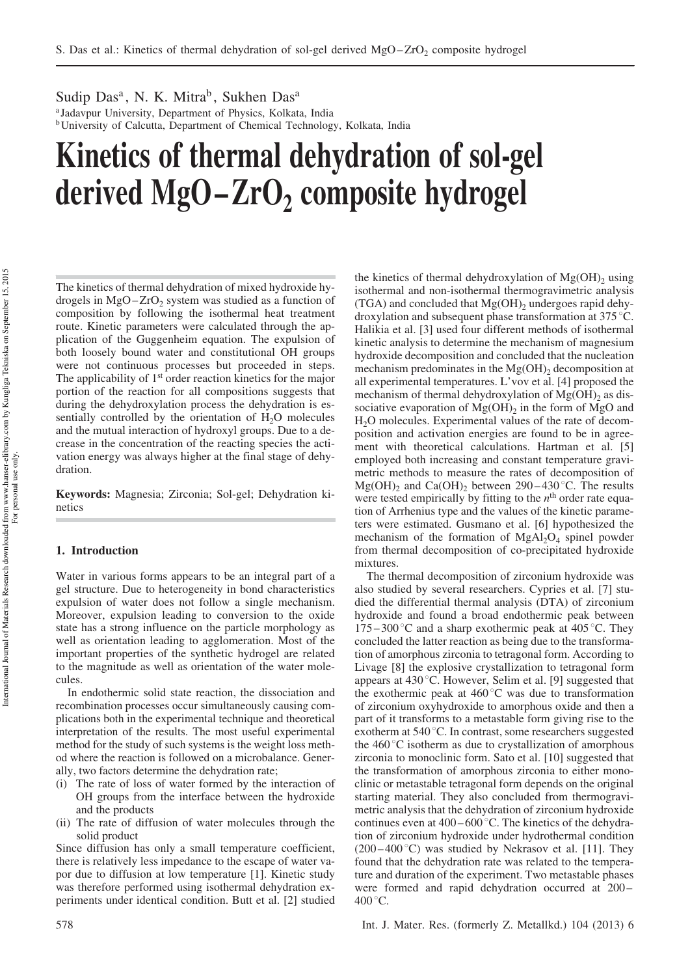Sudip Das<sup>a</sup>, N. K. Mitra<sup>b</sup>, Sukhen Das<sup>a</sup> a Jadavpur University, Department of Physics, Kolkata, India <sup>b</sup>University of Calcutta, Department of Chemical Technology, Kolkata, India

# Kinetics of thermal dehydration of sol-gel derived  $MgO-ZrO<sub>2</sub>$  composite hydrogel

The kinetics of thermal dehydration of mixed hydroxide hydrogels in  $MgO-ZrO<sub>2</sub>$  system was studied as a function of composition by following the isothermal heat treatment route. Kinetic parameters were calculated through the application of the Guggenheim equation. The expulsion of both loosely bound water and constitutional OH groups were not continuous processes but proceeded in steps. The applicability of 1<sup>st</sup> order reaction kinetics for the major portion of the reaction for all compositions suggests that during the dehydroxylation process the dehydration is essentially controlled by the orientation of  $H_2O$  molecules and the mutual interaction of hydroxyl groups. Due to a decrease in the concentration of the reacting species the activation energy was always higher at the final stage of dehydration.

Keywords: Magnesia; Zirconia; Sol-gel; Dehydration kinetics

# 1. Introduction

Water in various forms appears to be an integral part of a gel structure. Due to heterogeneity in bond characteristics expulsion of water does not follow a single mechanism. Moreover, expulsion leading to conversion to the oxide state has a strong influence on the particle morphology as well as orientation leading to agglomeration. Most of the important properties of the synthetic hydrogel are related to the magnitude as well as orientation of the water molecules.

In endothermic solid state reaction, the dissociation and recombination processes occur simultaneously causing complications both in the experimental technique and theoretical interpretation of the results. The most useful experimental method for the study of such systems is the weight loss method where the reaction is followed on a microbalance. Generally, two factors determine the dehydration rate;

- (i) The rate of loss of water formed by the interaction of OH groups from the interface between the hydroxide and the products
- (ii) The rate of diffusion of water molecules through the solid product

Since diffusion has only a small temperature coefficient, there is relatively less impedance to the escape of water vapor due to diffusion at low temperature [1]. Kinetic study was therefore performed using isothermal dehydration experiments under identical condition. Butt et al. [2] studied the kinetics of thermal dehydroxylation of  $Mg(OH)$ <sub>2</sub> using isothermal and non-isothermal thermogravimetric analysis (TGA) and concluded that  $Mg(OH)_2$  undergoes rapid dehydroxylation and subsequent phase transformation at  $375^{\circ}$ C. Halikia et al. [3] used four different methods of isothermal kinetic analysis to determine the mechanism of magnesium hydroxide decomposition and concluded that the nucleation mechanism predominates in the  $Mg(OH)$ <sub>2</sub> decomposition at all experimental temperatures. L'vov et al. [4] proposed the mechanism of thermal dehydroxylation of  $Mg(OH)$ <sub>2</sub> as dissociative evaporation of  $Mg(OH)_2$  in the form of MgO and H2O molecules. Experimental values of the rate of decomposition and activation energies are found to be in agreement with theoretical calculations. Hartman et al. [5] employed both increasing and constant temperature gravimetric methods to measure the rates of decomposition of  $Mg(OH)_2$  and Ca(OH)<sub>2</sub> between 290–430 °C. The results were tested empirically by fitting to the  $n<sup>th</sup>$  order rate equation of Arrhenius type and the values of the kinetic parameters were estimated. Gusmano et al. [6] hypothesized the mechanism of the formation of  $MgAl<sub>2</sub>O<sub>4</sub>$  spinel powder from thermal decomposition of co-precipitated hydroxide mixtures.

The thermal decomposition of zirconium hydroxide was also studied by several researchers. Cypries et al. [7] studied the differential thermal analysis (DTA) of zirconium hydroxide and found a broad endothermic peak between  $175 - 300^{\circ}$ C and a sharp exothermic peak at 405 °C. They concluded the latter reaction as being due to the transformation of amorphous zirconia to tetragonal form. According to Livage [8] the explosive crystallization to tetragonal form appears at  $430^{\circ}$ C. However, Selim et al. [9] suggested that the exothermic peak at  $460^{\circ}$ C was due to transformation of zirconium oxyhydroxide to amorphous oxide and then a part of it transforms to a metastable form giving rise to the exotherm at 540 °C. In contrast, some researchers suggested the  $460^{\circ}$ C isotherm as due to crystallization of amorphous zirconia to monoclinic form. Sato et al. [10] suggested that the transformation of amorphous zirconia to either monoclinic or metastable tetragonal form depends on the original starting material. They also concluded from thermogravimetric analysis that the dehydration of zirconium hydroxide continues even at  $400 - 600^{\circ}$ C. The kinetics of the dehydration of zirconium hydroxide under hydrothermal condition (200 $-400\degree$ C) was studied by Nekrasov et al. [11]. They found that the dehydration rate was related to the temperature and duration of the experiment. Two metastable phases were formed and rapid dehydration occurred at 200–  $400^{\circ}$ C.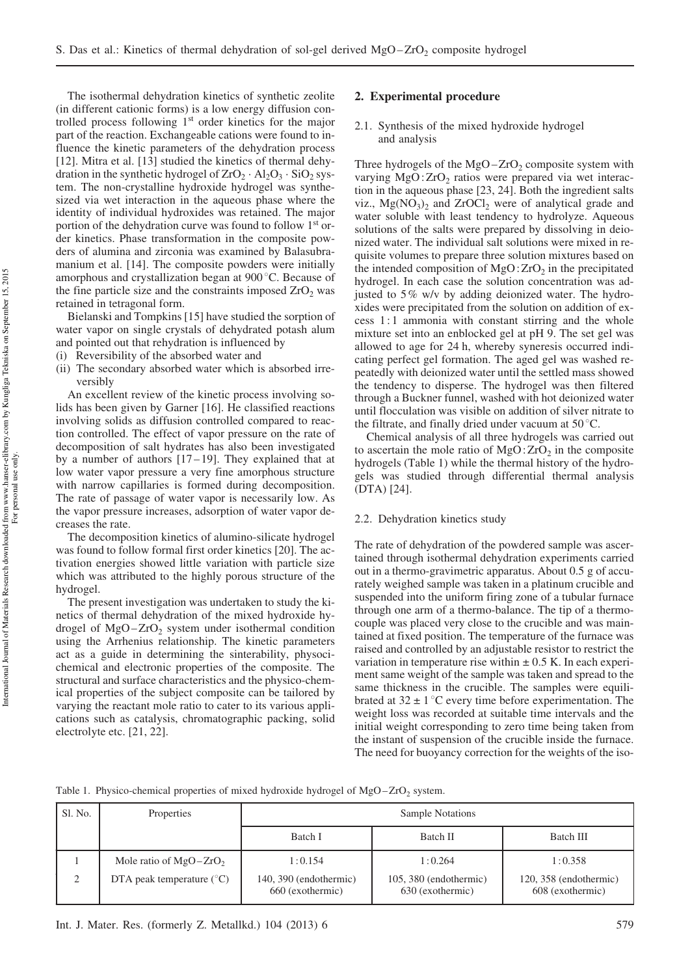The isothermal dehydration kinetics of synthetic zeolite (in different cationic forms) is a low energy diffusion controlled process following 1 st order kinetics for the major part of the reaction. Exchangeable cations were found to influence the kinetic parameters of the dehydration process [12]. Mitra et al. [13] studied the kinetics of thermal dehydration in the synthetic hydrogel of  $ZrO_2 \cdot Al_2O_3 \cdot SiO_2$  system. The non-crystalline hydroxide hydrogel was synthesized via wet interaction in the aqueous phase where the identity of individual hydroxides was retained. The major portion of the dehydration curve was found to follow 1<sup>st</sup> order kinetics. Phase transformation in the composite powders of alumina and zirconia was examined by Balasubramanium et al. [14]. The composite powders were initially amorphous and crystallization began at  $900^{\circ}$ C. Because of the fine particle size and the constraints imposed  $ZrO<sub>2</sub>$  was retained in tetragonal form.

Bielanski and Tompkins [15] have studied the sorption of water vapor on single crystals of dehydrated potash alum and pointed out that rehydration is influenced by

- (i) Reversibility of the absorbed water and
- (ii) The secondary absorbed water which is absorbed irreversibly

An excellent review of the kinetic process involving solids has been given by Garner [16]. He classified reactions involving solids as diffusion controlled compared to reaction controlled. The effect of vapor pressure on the rate of decomposition of salt hydrates has also been investigated by a number of authors  $[17-19]$ . They explained that at low water vapor pressure a very fine amorphous structure with narrow capillaries is formed during decomposition. The rate of passage of water vapor is necessarily low. As the vapor pressure increases, adsorption of water vapor decreases the rate.

The decomposition kinetics of alumino-silicate hydrogel was found to follow formal first order kinetics [20]. The activation energies showed little variation with particle size which was attributed to the highly porous structure of the hydrogel.

The present investigation was undertaken to study the kinetics of thermal dehydration of the mixed hydroxide hydrogel of  $MgO-ZrO<sub>2</sub>$  system under isothermal condition using the Arrhenius relationship. The kinetic parameters act as a guide in determining the sinterability, physocichemical and electronic properties of the composite. The structural and surface characteristics and the physico-chemical properties of the subject composite can be tailored by varying the reactant mole ratio to cater to its various applications such as catalysis, chromatographic packing, solid electrolyte etc. [21, 22].

# 2. Experimental procedure

## 2.1. Synthesis of the mixed hydroxide hydrogel and analysis

Three hydrogels of the  $MgO-ZrO<sub>2</sub>$  composite system with varying  $MgO:ZrO<sub>2</sub>$  ratios were prepared via wet interaction in the aqueous phase [23, 24]. Both the ingredient salts viz.,  $Mg(NO<sub>3</sub>)<sub>2</sub>$  and  $ZrOCl<sub>2</sub>$  were of analytical grade and water soluble with least tendency to hydrolyze. Aqueous solutions of the salts were prepared by dissolving in deionized water. The individual salt solutions were mixed in requisite volumes to prepare three solution mixtures based on the intended composition of  $MgO:ZrO<sub>2</sub>$  in the precipitated hydrogel. In each case the solution concentration was adjusted to 5% w/v by adding deionized water. The hydroxides were precipitated from the solution on addition of excess 1:1 ammonia with constant stirring and the whole mixture set into an enblocked gel at pH 9. The set gel was allowed to age for 24 h, whereby syneresis occurred indicating perfect gel formation. The aged gel was washed repeatedly with deionized water until the settled mass showed the tendency to disperse. The hydrogel was then filtered through a Buckner funnel, washed with hot deionized water until flocculation was visible on addition of silver nitrate to the filtrate, and finally dried under vacuum at  $50^{\circ}$ C.

Chemical analysis of all three hydrogels was carried out to ascertain the mole ratio of  $MgO:ZrO<sub>2</sub>$  in the composite hydrogels (Table 1) while the thermal history of the hydrogels was studied through differential thermal analysis (DTA) [24].

# 2.2. Dehydration kinetics study

The rate of dehydration of the powdered sample was ascertained through isothermal dehydration experiments carried out in a thermo-gravimetric apparatus. About 0.5 g of accurately weighed sample was taken in a platinum crucible and suspended into the uniform firing zone of a tubular furnace through one arm of a thermo-balance. The tip of a thermocouple was placed very close to the crucible and was maintained at fixed position. The temperature of the furnace was raised and controlled by an adjustable resistor to restrict the variation in temperature rise within  $\pm$  0.5 K. In each experiment same weight of the sample was taken and spread to the same thickness in the crucible. The samples were equilibrated at  $32 \pm 1$  °C every time before experimentation. The weight loss was recorded at suitable time intervals and the initial weight corresponding to zero time being taken from the instant of suspension of the crucible inside the furnace. The need for buoyancy correction for the weights of the iso-

Table 1. Physico-chemical properties of mixed hydroxide hydrogel of  $MgO-ZrO<sub>2</sub>$  system.

| Sl. No. | Properties                           | Sample Notations                           |                                              |                                              |  |
|---------|--------------------------------------|--------------------------------------------|----------------------------------------------|----------------------------------------------|--|
|         |                                      | Batch I                                    | Batch II                                     | Batch III                                    |  |
|         | Mole ratio of $MgO-ZrO2$             | 1:0.154                                    | 1:0.264                                      | 1:0.358                                      |  |
| 2       | DTA peak temperature $({}^{\circ}C)$ | 140, 390 (endothermic)<br>660 (exothermic) | $105, 380$ (endothermic)<br>630 (exothermic) | $120, 358$ (endothermic)<br>608 (exothermic) |  |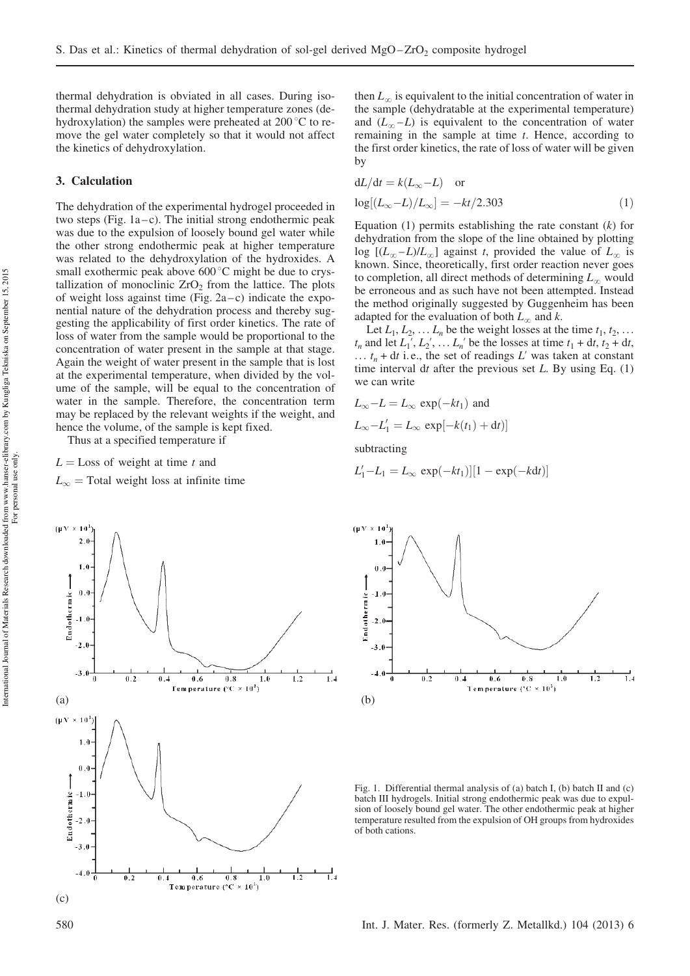thermal dehydration is obviated in all cases. During isothermal dehydration study at higher temperature zones (dehydroxylation) the samples were preheated at  $200^{\circ}$ C to remove the gel water completely so that it would not affect the kinetics of dehydroxylation.

## 3. Calculation

The dehydration of the experimental hydrogel proceeded in two steps (Fig.  $1a-c$ ). The initial strong endothermic peak was due to the expulsion of loosely bound gel water while the other strong endothermic peak at higher temperature was related to the dehydroxylation of the hydroxides. A small exothermic peak above  $600^{\circ}$ C might be due to crystallization of monoclinic  $ZrO<sub>2</sub>$  from the lattice. The plots of weight loss against time (Fig.  $2a-c$ ) indicate the exponential nature of the dehydration process and thereby suggesting the applicability of first order kinetics. The rate of loss of water from the sample would be proportional to the concentration of water present in the sample at that stage. Again the weight of water present in the sample that is lost at the experimental temperature, when divided by the volume of the sample, will be equal to the concentration of water in the sample. Therefore, the concentration term may be replaced by the relevant weights if the weight, and hence the volume, of the sample is kept fixed.

Thus at a specified temperature if

 $L =$ Loss of weight at time t and

 $L_{\infty}$  = Total weight loss at infinite time



then  $L_{\infty}$  is equivalent to the initial concentration of water in the sample (dehydratable at the experimental temperature) and  $(L_{\infty}-L)$  is equivalent to the concentration of water remaining in the sample at time t. Hence, according to the first order kinetics, the rate of loss of water will be given by

$$
dL/dt = k(L_{\infty} - L) \quad \text{or}
$$
  

$$
\log[(L_{\infty} - L)/L_{\infty}] = -kt/2.303
$$
 (1)

Equation  $(1)$  permits establishing the rate constant  $(k)$  for dehydration from the slope of the line obtained by plotting log  $[(L_{\infty}-L)/L_{\infty}]$  against t, provided the value of  $L_{\infty}$  is known. Since, theoretically, first order reaction never goes to completion, all direct methods of determining  $L_{\infty}$  would be erroneous and as such have not been attempted. Instead the method originally suggested by Guggenheim has been adapted for the evaluation of both  $L_{\infty}$  and k.

Let  $L_1, L_2, \ldots L_n$  be the weight losses at the time  $t_1, t_2, \ldots$  $t_n$  and let  $L_1, L_2, \ldots, L_n$  be the losses at time  $t_1 + dt, t_2 + dt$ ,  $\ldots$   $t_n$  + dt i.e., the set of readings L' was taken at constant time interval dt after the previous set  $L$ . By using Eq. (1) we can write

$$
L_{\infty} - L = L_{\infty} \exp(-kt_1) \text{ and}
$$
  

$$
L_{\infty} - L'_1 = L_{\infty} \exp[-k(t_1) + dt)]
$$

subtracting

$$
L'_1 - L_1 = L_{\infty} \exp(-kt_1)][1 - \exp(-kdt)]
$$



Fig. 1. Differential thermal analysis of (a) batch I, (b) batch II and (c) batch III hydrogels. Initial strong endothermic peak was due to expulsion of loosely bound gel water. The other endothermic peak at higher temperature resulted from the expulsion of OH groups from hydroxides of both cations.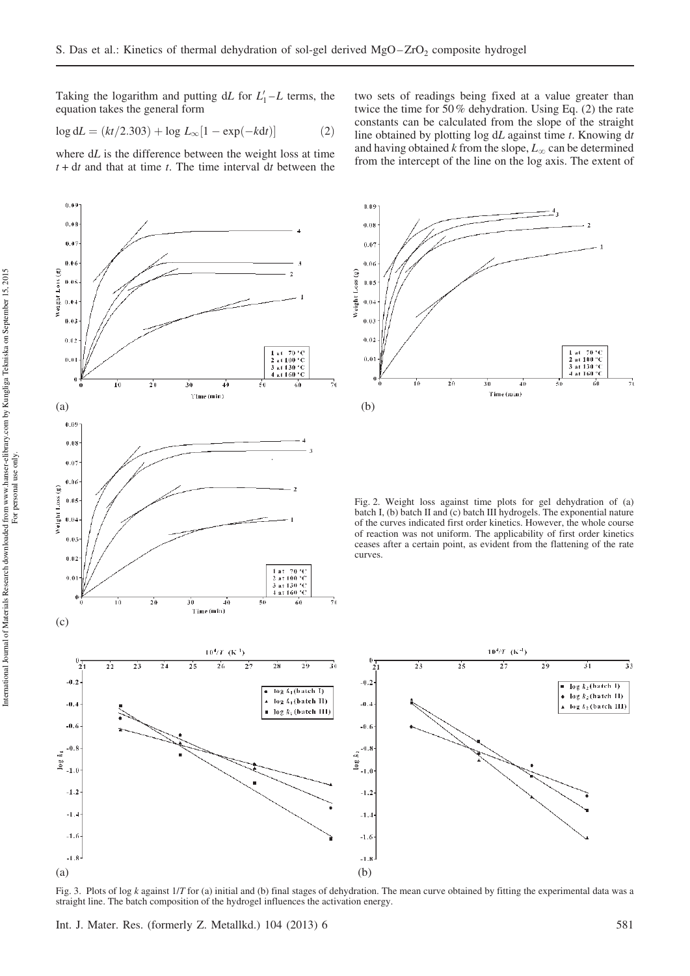Taking the logarithm and putting  $dL$  for  $L'_1 - L$  terms, the equation takes the general form

$$
\log dL = (kt/2.303) + \log L_{\infty} [1 - \exp(-kdt)] \tag{2}
$$

where  $dL$  is the difference between the weight loss at time  $t + dt$  and that at time  $t$ . The time interval dt between the



two sets of readings being fixed at a value greater than twice the time for 50% dehydration. Using Eq. (2) the rate constants can be calculated from the slope of the straight line obtained by plotting log  $dL$  against time  $t$ . Knowing  $dt$ and having obtained k from the slope,  $L_{\infty}$  can be determined from the intercept of the line on the log axis. The extent of



Fig. 2. Weight loss against time plots for gel dehydration of (a) batch I, (b) batch II and (c) batch III hydrogels. The exponential nature of the curves indicated first order kinetics. However, the whole course of reaction was not uniform. The applicability of first order kinetics ceases after a certain point, as evident from the flattening of the rate



Fig. 3. Plots of log k against  $1/T$  for (a) initial and (b) final stages of dehydration. The mean curve obtained by fitting the experimental data was a straight line. The batch composition of the hydrogel influences the activation energy.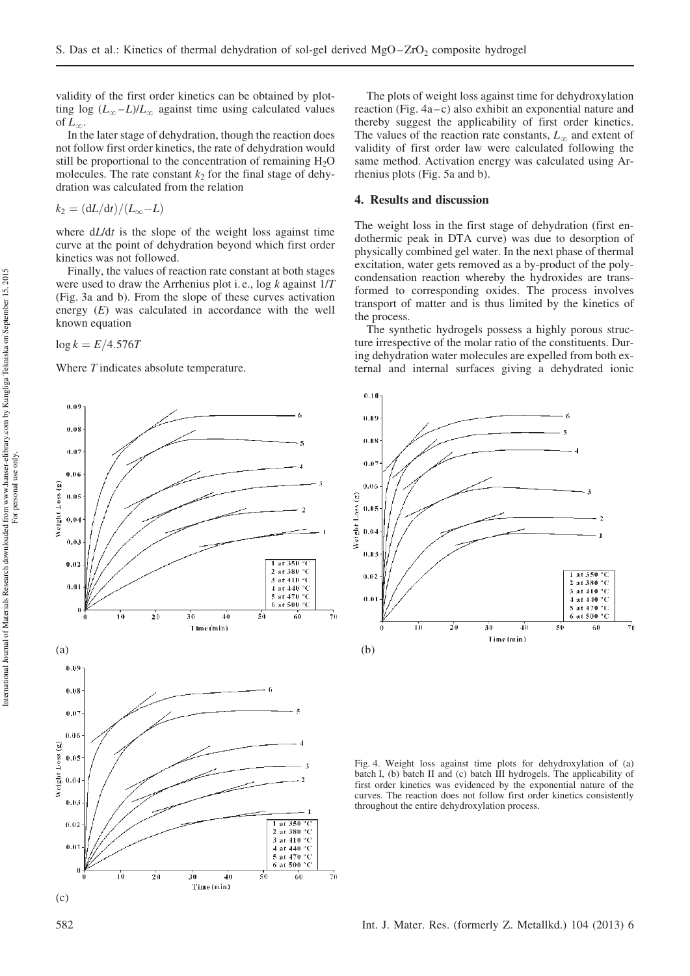validity of the first order kinetics can be obtained by plotting log  $(L_{\infty} - L)/L_{\infty}$  against time using calculated values of  $L_{\infty}$ .

In the later stage of dehydration, though the reaction does not follow first order kinetics, the rate of dehydration would still be proportional to the concentration of remaining  $H_2O$ molecules. The rate constant  $k_2$  for the final stage of dehydration was calculated from the relation

$$
k_2 = \frac{dL}{dt}/\frac{L}{L_{\infty}} - L
$$

where  $d/dt$  is the slope of the weight loss against time curve at the point of dehydration beyond which first order kinetics was not followed.

Finally, the values of reaction rate constant at both stages were used to draw the Arrhenius plot i.e.,  $\log k$  against  $1/T$ (Fig. 3a and b). From the slope of these curves activation energy (E) was calculated in accordance with the well known equation

 $log k = E/4.576T$ 

Where T indicates absolute temperature.

 $0.09$  $0.03$  $0.07$  $0.06$ Weight Loss (g)  $0.05$  $0.04$  $0.03$  $at$  350  $0.02$ 2 at 380 °C  $\frac{24100}{3}$  at 410 Ñ  $0.0^{\circ}$ 4 at 440 °C 5 at 470 ١Č  $6$  at  $500$  $\mathbf{r}$  $\frac{1}{70}$  $\overline{10}$  $\overline{40}$  $\overline{50}$  $60$  $\overline{20}$  $\overline{30}$ Time (min)  $(a)$  (b) 0.09  $0.08$  $0.07$  $0.06$ Weight Loss (g)  $0.05$  $0.04$ 0.03  $\overline{1}$  $1$  at 350  $^{\circ}$ C  $0.02$ 2 at 380 °C 3 at 410 °C  $0.01$  $4$  at  $440 °C$  $\frac{44}{5}$  at 470 ۰Č 6 at 500 °C  $\mathbf{0}$  $\frac{1}{70}$ т'n  $50$  $60$  $20$  $\overline{30}$  $\overline{40}$ Time (min) (c)

The plots of weight loss against time for dehydroxylation reaction (Fig. 4a–c) also exhibit an exponential nature and thereby suggest the applicability of first order kinetics. The values of the reaction rate constants,  $L_{\infty}$  and extent of validity of first order law were calculated following the same method. Activation energy was calculated using Arrhenius plots (Fig. 5a and b).

## 4. Results and discussion

The weight loss in the first stage of dehydration (first endothermic peak in DTA curve) was due to desorption of physically combined gel water. In the next phase of thermal excitation, water gets removed as a by-product of the polycondensation reaction whereby the hydroxides are transformed to corresponding oxides. The process involves transport of matter and is thus limited by the kinetics of the process.

The synthetic hydrogels possess a highly porous structure irrespective of the molar ratio of the constituents. During dehydration water molecules are expelled from both external and internal surfaces giving a dehydrated ionic



Fig. 4. Weight loss against time plots for dehydroxylation of (a) batch I, (b) batch II and (c) batch III hydrogels. The applicability of first order kinetics was evidenced by the exponential nature of the curves. The reaction does not follow first order kinetics consistently throughout the entire dehydroxylation process.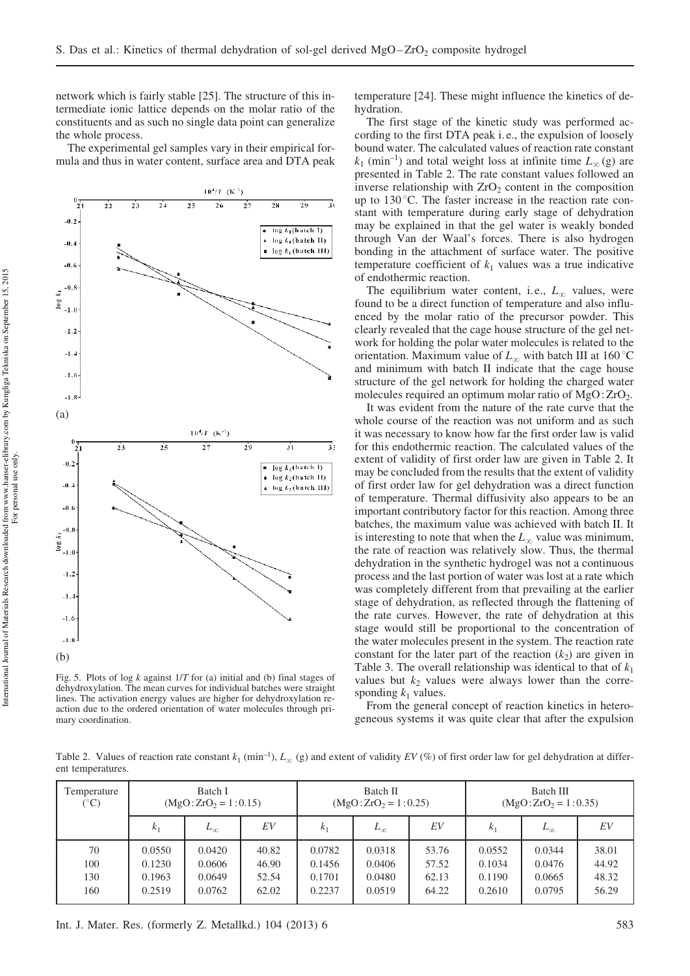network which is fairly stable [25]. The structure of this intermediate ionic lattice depends on the molar ratio of the constituents and as such no single data point can generalize the whole process.

The experimental gel samples vary in their empirical formula and thus in water content, surface area and DTA peak



Fig. 5. Plots of log  $k$  against  $1/T$  for (a) initial and (b) final stages of dehydroxylation. The mean curves for individual batches were straight lines. The activation energy values are higher for dehydroxylation reaction due to the ordered orientation of water molecules through primary coordination.

temperature [24]. These might influence the kinetics of dehydration.

The first stage of the kinetic study was performed according to the first DTA peak i. e., the expulsion of loosely bound water. The calculated values of reaction rate constant  $k_1$  (min<sup>-1</sup>) and total weight loss at infinite time  $L_\infty$  (g) are presented in Table 2. The rate constant values followed an inverse relationship with  $ZrO<sub>2</sub>$  content in the composition up to  $130^{\circ}$ C. The faster increase in the reaction rate constant with temperature during early stage of dehydration may be explained in that the gel water is weakly bonded through Van der Waal's forces. There is also hydrogen bonding in the attachment of surface water. The positive temperature coefficient of  $k_1$  values was a true indicative of endothermic reaction.

The equilibrium water content, i.e.,  $L_{\infty}$  values, were found to be a direct function of temperature and also influenced by the molar ratio of the precursor powder. This clearly revealed that the cage house structure of the gel network for holding the polar water molecules is related to the orientation. Maximum value of  $L_{\infty}$  with batch III at 160 °C and minimum with batch II indicate that the cage house structure of the gel network for holding the charged water molecules required an optimum molar ratio of MgO: ZrO2.

It was evident from the nature of the rate curve that the whole course of the reaction was not uniform and as such it was necessary to know how far the first order law is valid for this endothermic reaction. The calculated values of the extent of validity of first order law are given in Table 2. It may be concluded from the results that the extent of validity of first order law for gel dehydration was a direct function of temperature. Thermal diffusivity also appears to be an important contributory factor for this reaction. Among three batches, the maximum value was achieved with batch II. It is interesting to note that when the  $L_{\infty}$  value was minimum, the rate of reaction was relatively slow. Thus, the thermal dehydration in the synthetic hydrogel was not a continuous process and the last portion of water was lost at a rate which was completely different from that prevailing at the earlier stage of dehydration, as reflected through the flattening of the rate curves. However, the rate of dehydration at this stage would still be proportional to the concentration of the water molecules present in the system. The reaction rate constant for the later part of the reaction  $(k_2)$  are given in Table 3. The overall relationship was identical to that of  $k_1$ values but  $k_2$  values were always lower than the corresponding  $k_1$  values.

From the general concept of reaction kinetics in heterogeneous systems it was quite clear that after the expulsion

Table 2. Values of reaction rate constant  $k_1$  (min<sup>-1</sup>),  $L_\infty$  (g) and extent of validity EV (%) of first order law for gel dehydration at different temperatures.

| Temperature            | Batch I             |              | Batch II            |                | Batch III           |       |                |              |       |
|------------------------|---------------------|--------------|---------------------|----------------|---------------------|-------|----------------|--------------|-------|
| $({}^\circ\mathrm{C})$ | $(MgO:ZrO2=1:0.15)$ |              | $(MgO:ZrO2=1:0.25)$ |                | $(MgO:ZrO2=1:0.35)$ |       |                |              |       |
|                        | k <sub>1</sub>      | $L_{\infty}$ | EV                  | k <sub>1</sub> | $L_{\infty}$        | EV    | k <sub>1</sub> | $L_{\infty}$ | EV    |
| 70                     | 0.0550              | 0.0420       | 40.82               | 0.0782         | 0.0318              | 53.76 | 0.0552         | 0.0344       | 38.01 |
| 100                    | 0.1230              | 0.0606       | 46.90               | 0.1456         | 0.0406              | 57.52 | 0.1034         | 0.0476       | 44.92 |
| 130                    | 0.1963              | 0.0649       | 52.54               | 0.1701         | 0.0480              | 62.13 | 0.1190         | 0.0665       | 48.32 |
| 160                    | 0.2519              | 0.0762       | 62.02               | 0.2237         | 0.0519              | 64.22 | 0.2610         | 0.0795       | 56.29 |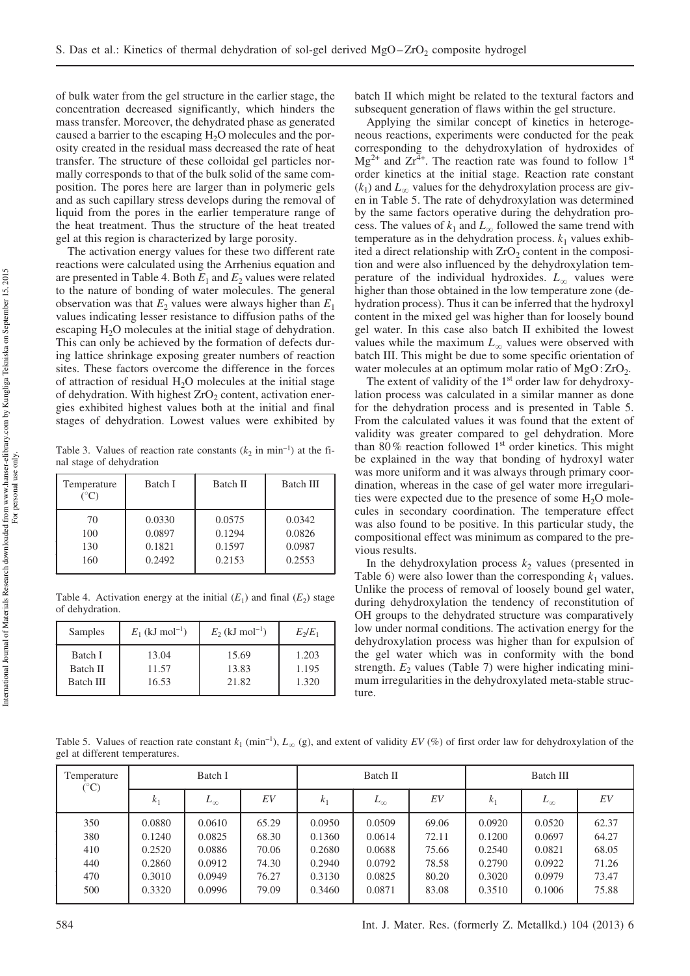of bulk water from the gel structure in the earlier stage, the concentration decreased significantly, which hinders the mass transfer. Moreover, the dehydrated phase as generated caused a barrier to the escaping  $H_2O$  molecules and the porosity created in the residual mass decreased the rate of heat transfer. The structure of these colloidal gel particles normally corresponds to that of the bulk solid of the same composition. The pores here are larger than in polymeric gels and as such capillary stress develops during the removal of liquid from the pores in the earlier temperature range of the heat treatment. Thus the structure of the heat treated gel at this region is characterized by large porosity.

The activation energy values for these two different rate reactions were calculated using the Arrhenius equation and are presented in Table 4. Both  $E_1$  and  $E_2$  values were related to the nature of bonding of water molecules. The general observation was that  $E_2$  values were always higher than  $E_1$ values indicating lesser resistance to diffusion paths of the escaping  $H_2O$  molecules at the initial stage of dehydration. This can only be achieved by the formation of defects during lattice shrinkage exposing greater numbers of reaction sites. These factors overcome the difference in the forces of attraction of residual  $H_2O$  molecules at the initial stage of dehydration. With highest  $ZrO<sub>2</sub>$  content, activation energies exhibited highest values both at the initial and final stages of dehydration. Lowest values were exhibited by

Table 3. Values of reaction rate constants  $(k_2 \text{ in } \text{min}^{-1})$  at the final stage of dehydration

| Temperature<br>$({}^\circ\mathrm{C})$ | Batch I | Batch II | Batch III |
|---------------------------------------|---------|----------|-----------|
| 70                                    | 0.0330  | 0.0575   | 0.0342    |
| 100                                   | 0.0897  | 0.1294   | 0.0826    |
| 130                                   | 0.1821  | 0.1597   | 0.0987    |
| 160                                   | 0.2492  | 0.2153   | 0.2553    |

Table 4. Activation energy at the initial  $(E_1)$  and final  $(E_2)$  stage of dehydration.

| Samples   | $E_1$ (kJ mol <sup>-1</sup> ) | $E_2$ (kJ mol <sup>-1</sup> ) | $E_2/E_1$ |
|-----------|-------------------------------|-------------------------------|-----------|
| Batch I   | 13.04                         | 15.69                         | 1.203     |
| Batch II  | 11.57                         | 13.83                         | 1.195     |
| Batch III | 16.53                         | 21.82                         | 1.320     |

batch II which might be related to the textural factors and subsequent generation of flaws within the gel structure.

Applying the similar concept of kinetics in heterogeneous reactions, experiments were conducted for the peak corresponding to the dehydroxylation of hydroxides of  $Mg^{2+}$  and  $Zr^{4+}$ . The reaction rate was found to follow 1<sup>st</sup> order kinetics at the initial stage. Reaction rate constant  $(k_1)$  and  $L_{\infty}$  values for the dehydroxylation process are given in Table 5. The rate of dehydroxylation was determined by the same factors operative during the dehydration process. The values of  $k_1$  and  $L_{\infty}$  followed the same trend with temperature as in the dehydration process.  $k_1$  values exhibited a direct relationship with  $ZrO<sub>2</sub>$  content in the composition and were also influenced by the dehydroxylation temperature of the individual hydroxides.  $L_{\infty}$  values were higher than those obtained in the low temperature zone (dehydration process). Thus it can be inferred that the hydroxyl content in the mixed gel was higher than for loosely bound gel water. In this case also batch II exhibited the lowest values while the maximum  $L_{\infty}$  values were observed with batch III. This might be due to some specific orientation of water molecules at an optimum molar ratio of  $MgO:ZrO<sub>2</sub>$ .

The extent of validity of the 1<sup>st</sup> order law for dehydroxylation process was calculated in a similar manner as done for the dehydration process and is presented in Table 5. From the calculated values it was found that the extent of validity was greater compared to gel dehydration. More than 80% reaction followed 1<sup>st</sup> order kinetics. This might be explained in the way that bonding of hydroxyl water was more uniform and it was always through primary coordination, whereas in the case of gel water more irregularities were expected due to the presence of some  $H_2O$  molecules in secondary coordination. The temperature effect was also found to be positive. In this particular study, the compositional effect was minimum as compared to the previous results.

In the dehydroxylation process  $k_2$  values (presented in Table 6) were also lower than the corresponding  $k_1$  values. Unlike the process of removal of loosely bound gel water, during dehydroxylation the tendency of reconstitution of OH groups to the dehydrated structure was comparatively low under normal conditions. The activation energy for the dehydroxylation process was higher than for expulsion of the gel water which was in conformity with the bond strength.  $E_2$  values (Table 7) were higher indicating minimum irregularities in the dehydroxylated meta-stable structure.

Table 5. Values of reaction rate constant  $k_1$  (min<sup>-1</sup>),  $L_\infty$  (g), and extent of validity EV (%) of first order law for dehydroxylation of the gel at different temperatures.

| Temperature<br>$\rm ^{\circ}C)$        | Batch I                                                  |                                                          | Batch II                                           |                                                          |                                                          | Batch III                                          |                                                          |                                                          |                                                    |
|----------------------------------------|----------------------------------------------------------|----------------------------------------------------------|----------------------------------------------------|----------------------------------------------------------|----------------------------------------------------------|----------------------------------------------------|----------------------------------------------------------|----------------------------------------------------------|----------------------------------------------------|
|                                        | k <sub>1</sub>                                           | $L_{\infty}$                                             | EV                                                 | k <sub>1</sub>                                           | $L_{\infty}$                                             | EV                                                 | $k_1$                                                    | $L_{\infty}$                                             | EV                                                 |
| 350<br>380<br>410<br>440<br>470<br>500 | 0.0880<br>0.1240<br>0.2520<br>0.2860<br>0.3010<br>0.3320 | 0.0610<br>0.0825<br>0.0886<br>0.0912<br>0.0949<br>0.0996 | 65.29<br>68.30<br>70.06<br>74.30<br>76.27<br>79.09 | 0.0950<br>0.1360<br>0.2680<br>0.2940<br>0.3130<br>0.3460 | 0.0509<br>0.0614<br>0.0688<br>0.0792<br>0.0825<br>0.0871 | 69.06<br>72.11<br>75.66<br>78.58<br>80.20<br>83.08 | 0.0920<br>0.1200<br>0.2540<br>0.2790<br>0.3020<br>0.3510 | 0.0520<br>0.0697<br>0.0821<br>0.0922<br>0.0979<br>0.1006 | 62.37<br>64.27<br>68.05<br>71.26<br>73.47<br>75.88 |